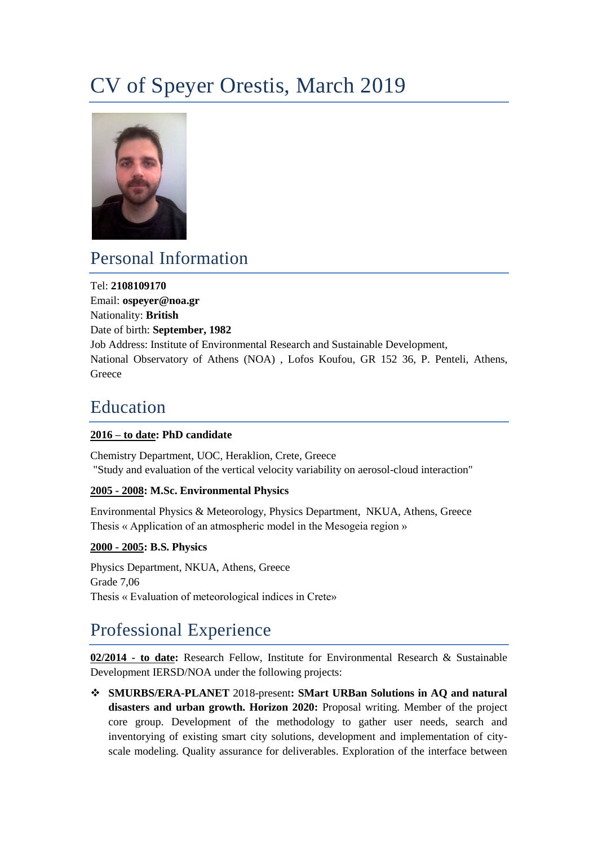# CV of Speyer Orestis, March 2019



### Personal Information

Tel: **2108109170** Email: **ospeyer@noa.gr** Nationality: **British** Date of birth: **September, 1982** Job Address: Institute of Environmental Research and Sustainable Development, National Observatory of Athens (NOA) , Lofos Koufou, GR 152 36, P. Penteli, Athens, **Greece** 

### Education

### **2016 – to date: PhD candidate**

Chemistry Department, UOC, Heraklion, Crete, Greece "Study and evaluation of the vertical velocity variability on aerosol-cloud interaction"

#### **2005 - 2008: M.Sc. Environmental Physics**

Environmental Physics & Meteorology, Physics Department, NKUA, Athens, Greece Thesis « Application of an atmospheric model in the Mesogeia region »

#### **2000 - 2005: B.S. Physics**

Physics Department, NKUA, Athens, Greece Grade 7,06 Thesis « Evaluation of meteorological indices in Crete»

## Professional Experience

**02/2014 - to date:** Research Fellow, Institute for Environmental Research & Sustainable Development IERSD/NOA under the following projects:

 **SMURBS/ERA-PLANET** 2018-present**: SMart URBan Solutions in AQ and natural disasters and urban growth. Horizon 2020:** Proposal writing. Member of the project core group. Development of the methodology to gather user needs, search and inventorying of existing smart city solutions, development and implementation of cityscale modeling. Quality assurance for deliverables. Exploration of the interface between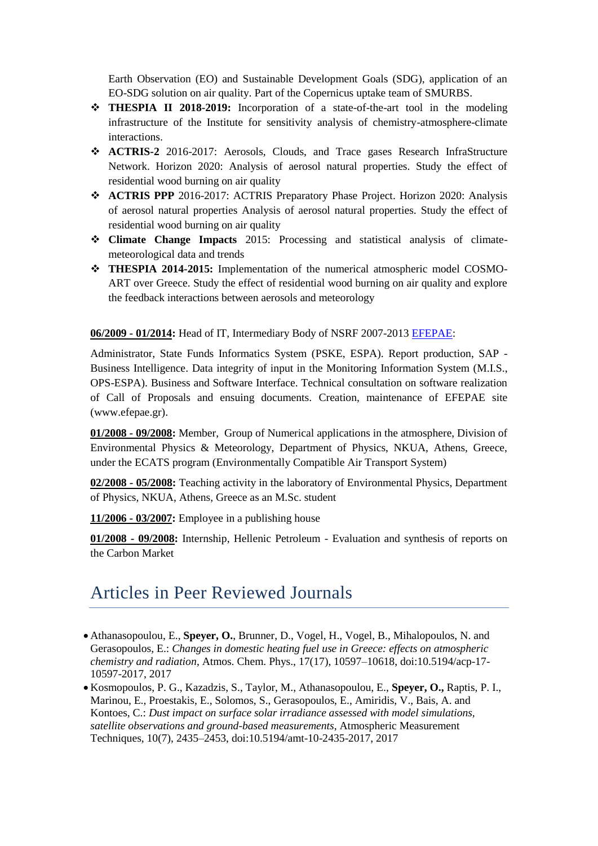Earth Observation (EO) and Sustainable Development Goals (SDG), application of an EO-SDG solution on air quality. Part of the Copernicus uptake team of SMURBS.

- **THESPIA II 2018-2019:** Incorporation of a state-of-the-art tool in the modeling infrastructure of the Institute for sensitivity analysis of chemistry-atmosphere-climate interactions.
- **ACTRIS-2** 2016-2017: Aerosols, Clouds, and Trace gases Research InfraStructure Network. Horizon 2020: Analysis of aerosol natural properties. Study the effect of residential wood burning on air quality
- **ACTRIS PPP** 2016-2017: ACTRIS Preparatory Phase Project. Horizon 2020: Analysis of aerosol natural properties Analysis of aerosol natural properties. Study the effect of residential wood burning on air quality
- **Climate Change Impacts** 2015: Processing and statistical analysis of climatemeteorological data and trends
- **THESPIA 2014-2015:** Implementation of the numerical atmospheric model COSMO-ART over Greece. Study the effect of residential wood burning on air quality and explore the feedback interactions between aerosols and meteorology

**06/2009 - 01/2014:** Head of IT, Intermediary Body of NSRF 2007-2013 [EFEPAE:](https://www.efepae.gr/frontend/index.php?chlang=EN)

Administrator, State Funds Informatics System [\(PSKE,](http://www.ependyseis.gr/) ESPA). Report production, SAP - Business Intelligence. Data integrity of input in the Monitoring Information System [\(M.I.S.](http://www.ops.gr/Ergorama/index.jsp?menuitemId=a1&tabid=0), OPS-ESPA). Business and Software Interface. Technical consultation on software realization of Call of Proposals and ensuing documents. Creation, maintenance of EFEPAE site [\(www.efepae.gr\)](http://www.efepae.gr/).

**01/2008 - 09/2008:** Member, Group of Numerical applications in the atmosphere, Division of Environmental Physics & Meteorology, Department of Physics, NKUA, Athens, Greece, under the ECATS program (Environmentally Compatible Air Transport System)

**02/2008 - 05/2008:** Teaching activity in the laboratory of Environmental Physics, Department of Physics, NKUA, Athens, Greece as an M.Sc. student

**11/2006 - 03/2007:** Employee in a publishing house

**01/2008 - 09/2008:** Internship, Hellenic Petroleum - Evaluation and synthesis of reports on the Carbon Market

### Articles in Peer Reviewed Journals

- Athanasopoulou, E., **Speyer, O.**, Brunner, D., Vogel, H., Vogel, B., Mihalopoulos, N. and Gerasopoulos, E.: *Changes in domestic heating fuel use in Greece: effects on atmospheric chemistry and radiation*, Atmos. Chem. Phys., 17(17), 10597–10618, doi:10.5194/acp-17- 10597-2017, 2017
- Kosmopoulos, P. G., Kazadzis, S., Taylor, M., Athanasopoulou, E., **Speyer, O.,** Raptis, P. I., Marinou, E., Proestakis, E., Solomos, S., Gerasopoulos, E., Amiridis, V., Bais, A. and Kontoes, C.: *Dust impact on surface solar irradiance assessed with model simulations, satellite observations and ground-based measurements*, Atmospheric Measurement Techniques, 10(7), 2435–2453, doi:10.5194/amt-10-2435-2017, 2017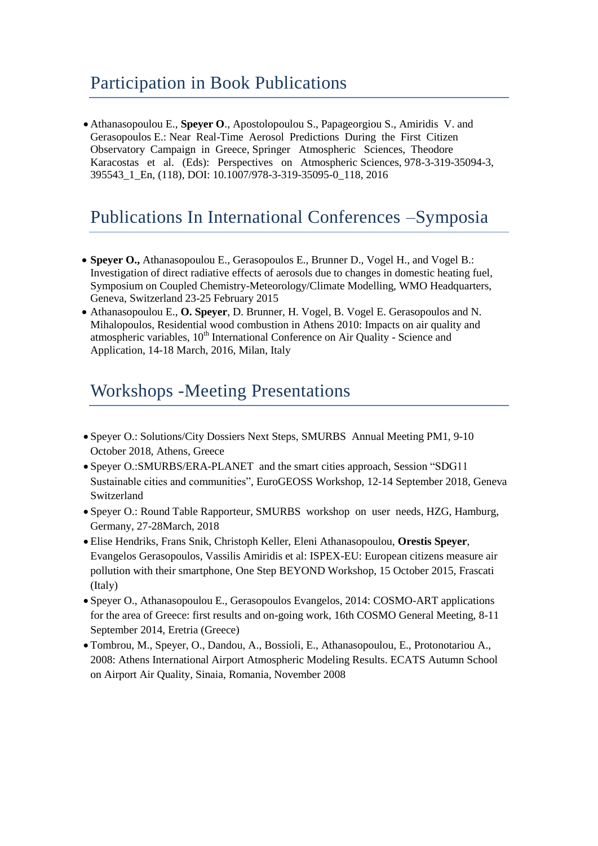### Participation in Book Publications

 Athanasopoulou E., **Speyer O**., Apostolopoulou S., Papageorgiou S., Amiridis V. and Gerasopoulos E.: Near Real-Time Aerosol Predictions During the First Citizen Observatory Campaign in Greece, Springer Atmospheric Sciences, Theodore Karacostas et al. (Eds): Perspectives on Atmospheric Sciences, 978-3-319-35094-3, 395543\_1\_En, (118), DOI: 10.1007/978-3-319-35095-0\_118, 2016

### Publications In International Conferences –Symposia

- **Speyer O.,** Athanasopoulou E., Gerasopoulos E., Brunner D., Vogel H., and Vogel B.: Investigation of direct radiative effects of aerosols due to changes in domestic heating fuel, Symposium on Coupled Chemistry-Meteorology/Climate Modelling, WMO Headquarters, Geneva, Switzerland 23-25 February 2015
- Athanasopoulou E., **O. Speyer**, D. Brunner, H. Vogel, B. Vogel E. Gerasopoulos and N. Mihalopoulos, Residential wood combustion in Athens 2010: Impacts on air quality and atmospheric variables, 10<sup>th</sup> International Conference on Air Quality - Science and Application, 14-18 March, 2016, Milan, Italy

### Workshops -Meeting Presentations

- Speyer O.: Solutions/City Dossiers Next Steps, SMURBS Annual Meeting PM1, 9-10 October 2018, Athens, Greece
- Speyer O.:SMURBS/ERA-PLANET and the smart cities approach, Session "SDG11 Sustainable cities and communities", EuroGEOSS Workshop, 12-14 September 2018, Geneva Switzerland
- Speyer O.: Round Table Rapporteur, SMURBS workshop on user needs, HZG, Hamburg, Germany, 27-28March, 2018
- Elise Hendriks, Frans Snik, Christoph Keller, Eleni Athanasopoulou, **Orestis Speyer**, Evangelos Gerasopoulos, Vassilis Amiridis et al: ISPEX-EU: European citizens measure air pollution with their smartphone, One Step BEYOND Workshop, 15 October 2015, Frascati (Italy)
- Speyer O., Athanasopoulou E., Gerasopoulos Evangelos, 2014: COSMO-ART applications for the area of Greece: first results and on-going work, 16th COSMO General Meeting, 8-11 September 2014, Eretria (Greece)
- Tombrou, M., Speyer, O., Dandou, A., Bossioli, E., Athanasopoulou, E., Protonotariou A., 2008: Athens International Airport Atmospheric Modeling Results. ECATS Autumn School on Airport Air Quality, Sinaia, Romania, November 2008